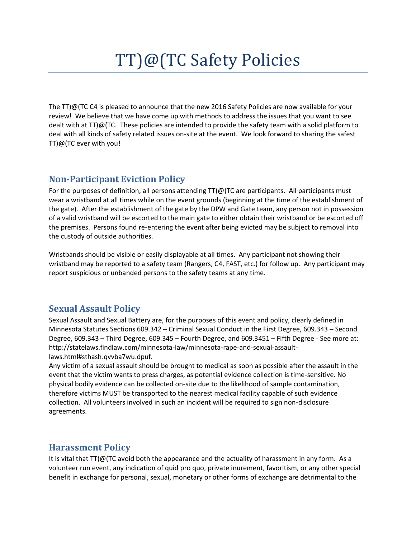# TT)@(TC Safety Policies

The TT)@(TC C4 is pleased to announce that the new 2016 Safety Policies are now available for your review! We believe that we have come up with methods to address the issues that you want to see dealt with at  $TT$ ) $@$ (TC. These policies are intended to provide the safety team with a solid platform to deal with all kinds of safety related issues on-site at the event. We look forward to sharing the safest TT)@(TC ever with you!

#### **Non-Participant Eviction Policy**

For the purposes of definition, all persons attending TT)@(TC are participants. All participants must wear a wristband at all times while on the event grounds (beginning at the time of the establishment of the gate). After the establishment of the gate by the DPW and Gate team, any person not in possession of a valid wristband will be escorted to the main gate to either obtain their wristband or be escorted off the premises. Persons found re-entering the event after being evicted may be subject to removal into the custody of outside authorities.

Wristbands should be visible or easily displayable at all times. Any participant not showing their wristband may be reported to a safety team (Rangers, C4, FAST, etc.) for follow up. Any participant may report suspicious or unbanded persons to the safety teams at any time.

## **Sexual Assault Policy**

Sexual Assault and Sexual Battery are, for the purposes of this event and policy, clearly defined in Minnesota Statutes Sections 609.342 – Criminal Sexual Conduct in the First Degree, 609.343 – Second Degree, 609.343 – Third Degree, 609.345 – Fourth Degree, and 609.3451 – Fifth Degree - See more at: http://statelaws.findlaw.com/minnesota-law/minnesota-rape-and-sexual-assaultlaws.html#sthash.qvvba7wu.dpuf.

Any victim of a sexual assault should be brought to medical as soon as possible after the assault in the event that the victim wants to press charges, as potential evidence collection is time-sensitive. No physical bodily evidence can be collected on-site due to the likelihood of sample contamination, therefore victims MUST be transported to the nearest medical facility capable of such evidence collection. All volunteers involved in such an incident will be required to sign non-disclosure agreements.

#### **Harassment Policy**

It is vital that TT)@(TC avoid both the appearance and the actuality of harassment in any form. As a volunteer run event, any indication of quid pro quo, private inurement, favoritism, or any other special benefit in exchange for personal, sexual, monetary or other forms of exchange are detrimental to the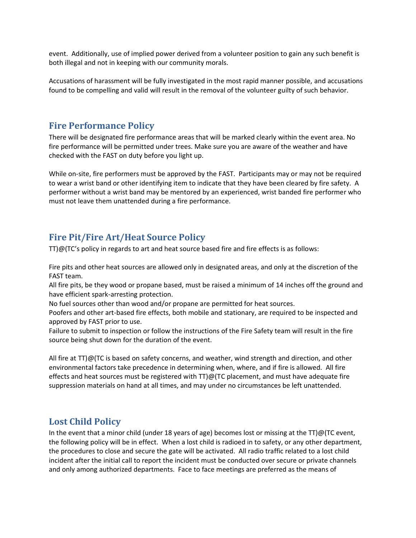event. Additionally, use of implied power derived from a volunteer position to gain any such benefit is both illegal and not in keeping with our community morals.

Accusations of harassment will be fully investigated in the most rapid manner possible, and accusations found to be compelling and valid will result in the removal of the volunteer guilty of such behavior.

### **Fire Performance Policy**

There will be designated fire performance areas that will be marked clearly within the event area. No fire performance will be permitted under trees. Make sure you are aware of the weather and have checked with the FAST on duty before you light up.

While on-site, fire performers must be approved by the FAST. Participants may or may not be required to wear a wrist band or other identifying item to indicate that they have been cleared by fire safety. A performer without a wrist band may be mentored by an experienced, wrist banded fire performer who must not leave them unattended during a fire performance.

# **Fire Pit/Fire Art/Heat Source Policy**

TT)@(TC's policy in regards to art and heat source based fire and fire effects is as follows:

Fire pits and other heat sources are allowed only in designated areas, and only at the discretion of the FAST team.

All fire pits, be they wood or propane based, must be raised a minimum of 14 inches off the ground and have efficient spark-arresting protection.

No fuel sources other than wood and/or propane are permitted for heat sources.

Poofers and other art-based fire effects, both mobile and stationary, are required to be inspected and approved by FAST prior to use.

Failure to submit to inspection or follow the instructions of the Fire Safety team will result in the fire source being shut down for the duration of the event.

All fire at TT)@(TC is based on safety concerns, and weather, wind strength and direction, and other environmental factors take precedence in determining when, where, and if fire is allowed. All fire effects and heat sources must be registered with TT)@(TC placement, and must have adequate fire suppression materials on hand at all times, and may under no circumstances be left unattended.

# **Lost Child Policy**

In the event that a minor child (under 18 years of age) becomes lost or missing at the TT)@(TC event, the following policy will be in effect. When a lost child is radioed in to safety, or any other department, the procedures to close and secure the gate will be activated. All radio traffic related to a lost child incident after the initial call to report the incident must be conducted over secure or private channels and only among authorized departments. Face to face meetings are preferred as the means of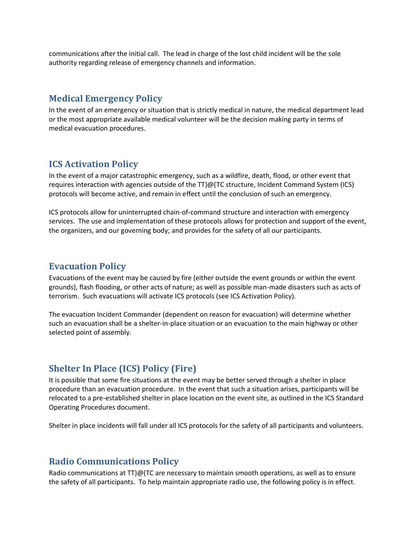communications after the initial call. The lead in charge of the lost child incident will be the sole authority regarding release of emergency channels and information.

### **Medical Emergency Policy**

In the event of an emergency or situation that is strictly medical in nature, the medical department lead or the most appropriate available medical volunteer will be the decision making party in terms of medical evacuation procedures.

## **ICS Activation Policy**

In the event of a major catastrophic emergency, such as a wildfire, death, flood, or other event that requires interaction with agencies outside of the TT)@(TC structure, Incident Command System (ICS) protocols will become active, and remain in effect until the conclusion of such an emergency.

ICS protocols allow for uninterrupted chain-of-command structure and interaction with emergency services. The use and implementation of these protocols allows for protection and support of the event, the organizers, and our governing body; and provides for the safety of all our participants.

#### **Evacuation Policy**

Evacuations of the event may be caused by fire (either outside the event grounds or within the event grounds), flash flooding, or other acts of nature; as well as possible man-made disasters such as acts of terrorism. Such evacuations will activate ICS protocols (see ICS Activation Policy).

The evacuation Incident Commander (dependent on reason for evacuation) will determine whether such an evacuation shall be a shelter-in-place situation or an evacuation to the main highway or other selected point of assembly.

# **Shelter In Place (ICS) Policy (Fire)**

It is possible that some fire situations at the event may be better served through a shelter in place procedure than an evacuation procedure. In the event that such a situation arises, participants will be relocated to a pre-established shelter in place location on the event site, as outlined in the ICS Standard Operating Procedures document.

Shelter in place incidents will fall under all ICS protocols for the safety of all participants and volunteers.

#### **Radio Communications Policy**

Radio communications at TT)@(TC are necessary to maintain smooth operations, as well as to ensure the safety of all participants. To help maintain appropriate radio use, the following policy is in effect.